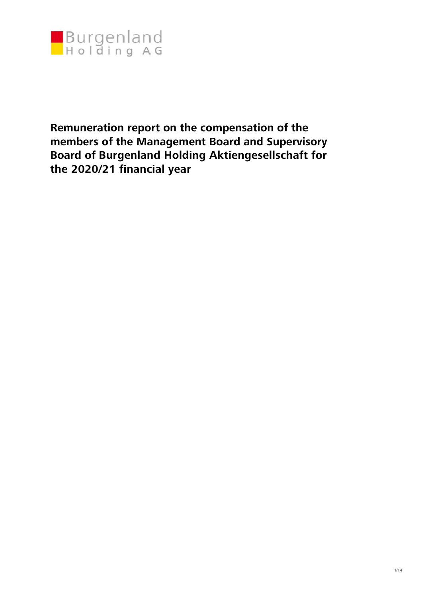

**Remuneration report on the compensation of the members of the Management Board and Supervisory Board of Burgenland Holding Aktiengesellschaft for the 2020/21 financial year**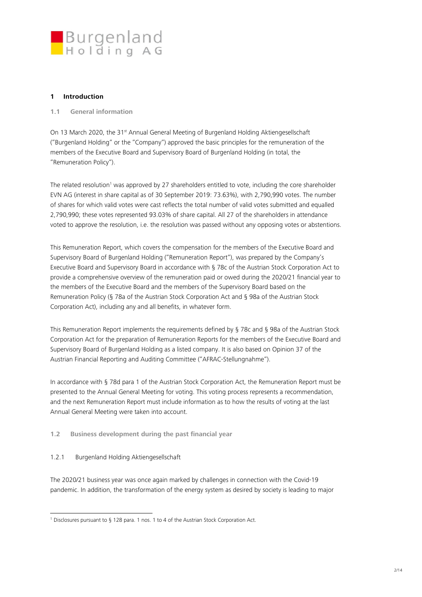

## **1 Introduction**

### **1.1 General information**

On 13 March 2020, the 31<sup>st</sup> Annual General Meeting of Burgenland Holding Aktiengesellschaft ("Burgenland Holding" or the "Company") approved the basic principles for the remuneration of the members of the Executive Board and Supervisory Board of Burgenland Holding (in total, the "Remuneration Policy").

The related resolution<sup>1</sup> was approved by 27 shareholders entitled to vote, including the core shareholder EVN AG (interest in share capital as of 30 September 2019: 73.63%), with 2,790,990 votes. The number of shares for which valid votes were cast reflects the total number of valid votes submitted and equalled 2,790,990; these votes represented 93.03% of share capital. All 27 of the shareholders in attendance voted to approve the resolution, i.e. the resolution was passed without any opposing votes or abstentions.

This Remuneration Report, which covers the compensation for the members of the Executive Board and Supervisory Board of Burgenland Holding ("Remuneration Report"), was prepared by the Company's Executive Board and Supervisory Board in accordance with § 78c of the Austrian Stock Corporation Act to provide a comprehensive overview of the remuneration paid or owed during the 2020/21 financial year to the members of the Executive Board and the members of the Supervisory Board based on the Remuneration Policy (§ 78a of the Austrian Stock Corporation Act and § 98a of the Austrian Stock Corporation Act), including any and all benefits, in whatever form.

This Remuneration Report implements the requirements defined by § 78c and § 98a of the Austrian Stock Corporation Act for the preparation of Remuneration Reports for the members of the Executive Board and Supervisory Board of Burgenland Holding as a listed company. It is also based on Opinion 37 of the Austrian Financial Reporting and Auditing Committee ("AFRAC-Stellungnahme").

In accordance with § 78d para 1 of the Austrian Stock Corporation Act, the Remuneration Report must be presented to the Annual General Meeting for voting. This voting process represents a recommendation, and the next Remuneration Report must include information as to how the results of voting at the last Annual General Meeting were taken into account.

## **1.2 Business development during the past financial year**

# 1.2.1 Burgenland Holding Aktiengesellschaft

The 2020/21 business year was once again marked by challenges in connection with the Covid-19 pandemic. In addition, the transformation of the energy system as desired by society is leading to major

l <sup>1</sup> Disclosures pursuant to § 128 para. 1 nos. 1 to 4 of the Austrian Stock Corporation Act.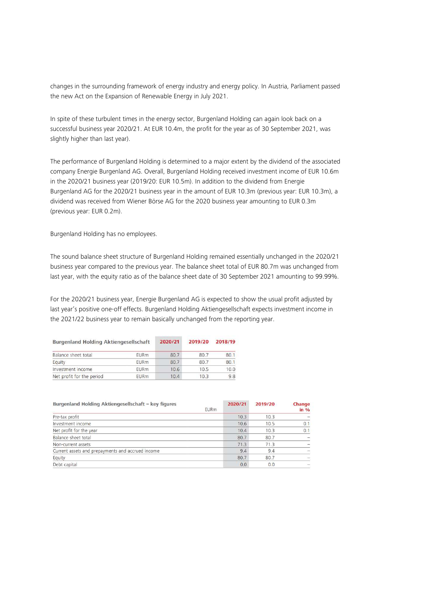changes in the surrounding framework of energy industry and energy policy. In Austria, Parliament passed the new Act on the Expansion of Renewable Energy in July 2021.

In spite of these turbulent times in the energy sector, Burgenland Holding can again look back on a successful business year 2020/21. At EUR 10.4m, the profit for the year as of 30 September 2021, was slightly higher than last year).

The performance of Burgenland Holding is determined to a major extent by the dividend of the associated company Energie Burgenland AG. Overall, Burgenland Holding received investment income of EUR 10.6m in the 2020/21 business year (2019/20: EUR 10.5m). In addition to the dividend from Energie Burgenland AG for the 2020/21 business year in the amount of EUR 10.3m (previous year: EUR 10.3m), a dividend was received from Wiener Börse AG for the 2020 business year amounting to EUR 0.3m (previous year: EUR 0.2m).

Burgenland Holding has no employees.

The sound balance sheet structure of Burgenland Holding remained essentially unchanged in the 2020/21 business year compared to the previous year. The balance sheet total of EUR 80.7m was unchanged from last year, with the equity ratio as of the balance sheet date of 30 September 2021 amounting to 99.99%.

For the 2020/21 business year, Energie Burgenland AG is expected to show the usual profit adjusted by last year's positive one-off effects. Burgenland Holding Aktiengesellschaft expects investment income in the 2021/22 business year to remain basically unchanged from the reporting year.

| <b>Burgenland Holding Aktiengesellschaft</b> |             | 2020/21 | 2019/20 | 2018/19 |
|----------------------------------------------|-------------|---------|---------|---------|
| Balance sheet total                          | <b>EURm</b> | 80.7    | 80.7    | 80.1    |
| Equity                                       | <b>EURm</b> | 80.7    | 80.7    | 80.1    |
| Investment income                            | <b>EURm</b> | 10.6    | 10.5    | 10.0    |
| Net profit for the period                    | <b>FURm</b> | 10.4    | 10.3    | 9.8     |

| Burgenland Holding Aktiengesellschaft - key figures | <b>EURm</b> | 2020/21 | 2019/20 | Change<br>$\mathsf{in} \%$ |
|-----------------------------------------------------|-------------|---------|---------|----------------------------|
| Pre-tax profit                                      |             | 10.3    | 10.3    |                            |
| Investment income                                   |             | 10.6    | 10.5    | 0.1                        |
| Net profit for the year                             |             | 10.4    | 10.3    | 0.1                        |
| Balance sheet total                                 |             | 80.7    | 80.7    |                            |
| Non-current assets                                  |             | 71.3    | 71.3    |                            |
| Current assets and prepayments and accrued income   |             | 9.4     | 9.4     |                            |
| Equity                                              |             | 80.7    | 80.7    |                            |
| Debt capital                                        |             | 0.0     | 0.0     |                            |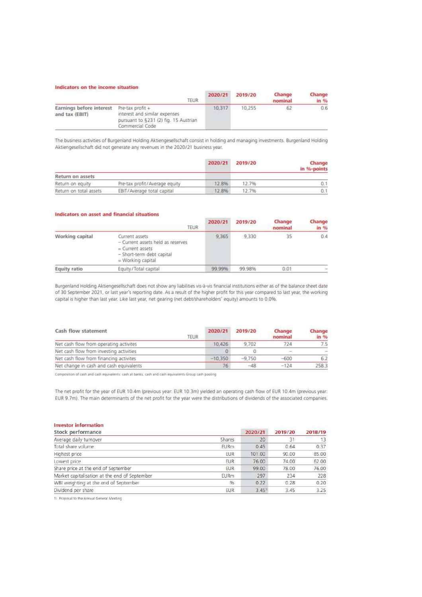#### Indicators on the income situation

|                                            | TEUR                                                                                                            | 2020/21    | 2019/20     | Change<br>nominal | Change<br>in % |
|--------------------------------------------|-----------------------------------------------------------------------------------------------------------------|------------|-------------|-------------------|----------------|
| Earnings before interest<br>and tax (EBIT) | Pre-tax profit $+$<br>interest and similar expenses<br>pursuant to §231 (2) fig. 15 Austrian<br>Commercial Code | 10.317<br> | 10.255<br>. |                   | 0.6<br>---     |

The business activities of Burgenland Holding Aktiengesellschaft consist in holding and managing investments. Burgenland Holding Aktiengesellschaft did not generate any revenues in the 2020/21 business year.

|                        |                               | 2020/21 | 2019/20 | Change<br>in %-points |
|------------------------|-------------------------------|---------|---------|-----------------------|
| Return on assets       |                               |         |         |                       |
| Return on equity       | Pre-tax profit/Average equity | 12.8%   | 12.7%   |                       |
| Return on total assets | EBIT/Average total capital    | 128%    | 12.7%   |                       |

#### Indicators on asset and financial situations

|                 | TEUR                                                                                                                          | 2020/21 | 2019/20 | Change<br>nominal | Change<br>in % |
|-----------------|-------------------------------------------------------------------------------------------------------------------------------|---------|---------|-------------------|----------------|
| Working capital | Current assets<br>- Current assets held as reserves<br>$=$ Current assets<br>- Short-term debt capital<br>$=$ Working capital | 9,365   | 9.330   | 35                | 0.4            |
| Equity ratio    | Equity/Total capital                                                                                                          | 99.99%  | 99.98%  | 0.01              |                |

Burgenland Holding Aktiengesellschaft does not show any liabilities vis-à-vis financial institutions either as of the balance sheet date of 30 September 2021, or last year's reporting date. As a result of the higher profit for this year compared to last year, the working capital is higher than last year. Like last year, net gearing (net debt/shareholders' equity) amounts to 0.0%.

| Cash flow statement<br>TEUR             | 2020/21   | 2019/20  | Change<br>nominal | Change<br>$in$ % |
|-----------------------------------------|-----------|----------|-------------------|------------------|
| Net cash flow from operating activites  | 10.426    | 9.702    | 724               | 7.5              |
| Net cash flow from investing activities |           |          |                   |                  |
| Net cash flow from financing activites  | $-10.350$ | $-9.750$ | $-600$            | 6.2              |
| Net change in cash and cash equivalents |           | $-48$    | $-124$            | 258.3            |

Composition of cash and cash equivalents: cash at banks, cash and cash equivalents Group cash pooling

The net profit for the year of EUR 10.4m (previous year: EUR 10.3m) yielded an operating cash flow of EUR 10.4m (previous year: EUR 9.7m). The main determinants of the net profit for the year were the distributions of dividends of the associated companies.

|             | 2020/21             | 2019/20 | 2018/19 |
|-------------|---------------------|---------|---------|
| Shares      | 20                  | 31      | 13      |
| <b>EURm</b> | 0.45                | 0.64    | 0.37    |
| <b>EUR</b>  | 101.00              | 90.00   | 85.00   |
| <b>EUR</b>  | 76.00               | 74.00   | 62.00   |
| <b>EUR</b>  | 99.00               | 78.00   | 76.00   |
| <b>EURm</b> | 297                 | 234     | 228     |
| %           | 0.22                | 0.28    | 0.20    |
| <b>EUR</b>  | $3.45$ <sup>1</sup> | 3.45    | 3.25    |
|             |                     |         |         |

1) Proposal to the Annual General Meeting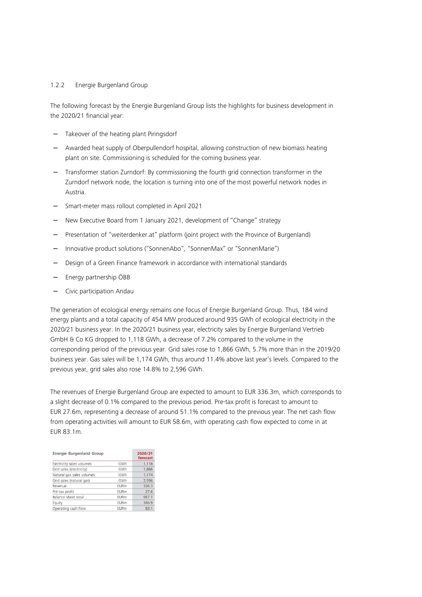## 1.2.2 Energie Burgenland Group

The following forecast by the Energie Burgenland Group lists the highlights for business development in the 2020/21 financial year:

- Takeover of the heating plant Piringsdorf
- − Awarded heat supply of Oberpullendorf hospital, allowing construction of new biomass heating plant on site. Commissioning is scheduled for the coming business year.
- − Transformer station Zurndorf: By commissioning the fourth grid connection transformer in the Zurndorf network node, the location is turning into one of the most powerful network nodes in Austria.
- − Smart-meter mass rollout completed in April 2021
- − New Executive Board from 1 January 2021, development of "Change" strategy
- − Presentation of "weiterdenker.at" platform (joint project with the Province of Burgenland)
- − Innovative product solutions ("SonnenAbo", "SonnenMax" or "SonnenMarie")
- − Design of a Green Finance framework in accordance with international standards
- − Energy partnership ÖBB
- − Civic participation Andau

The generation of ecological energy remains one focus of Energie Burgenland Group. Thus, 184 wind energy plants and a total capacity of 454 MW produced around 935 GWh of ecological electricity in the 2020/21 business year. In the 2020/21 business year, electricity sales by Energie Burgenland Vertrieb GmbH & Co KG dropped to 1,118 GWh, a decrease of 7.2% compared to the volume in the corresponding period of the previous year. Grid sales rose to 1,866 GWh, 5.7% more than in the 2019/20 business year. Gas sales will be 1,174 GWh, thus around 11.4% above last year's levels. Compared to the previous year, grid sales also rose 14.8% to 2,596 GWh.

The revenues of Energie Burgenland Group are expected to amount to EUR 336.3m, which corresponds to a slight decrease of 0.1% compared to the previous period. Pre-tax profit is forecast to amount to EUR 27.6m, representing a decrease of around 51.1% compared to the previous year. The net cash flow from operating activities will amount to EUR 58.6m, with operating cash flow expected to come in at EUR 83.1m.

| <b>Energie Burgenland Group</b> |             | 2020/21<br>forecast |
|---------------------------------|-------------|---------------------|
| Electricity sales volumes       | GWh         | 1,118               |
| Grid sales (electricity)        | GWh         | 1,866               |
| Natural gas sales volumes       | GWh         | 1.174               |
| Grid sales (natural gas)        | GWh         | 2,596               |
| Revenue                         | EURm        | 336.3               |
| Pre-tax profit                  | <b>EURm</b> | 27.6                |
| Balance sheet total             | <b>EURm</b> | 957.1               |
| Equity                          | <b>EURm</b> | 346.9               |
| Operating cash flow             | FLIRm       | 831                 |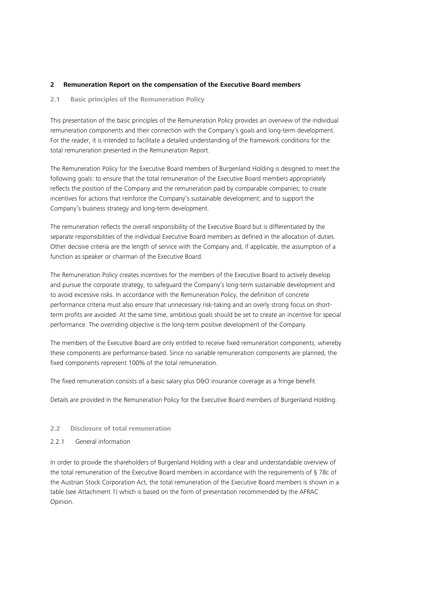## **2 Remuneration Report on the compensation of the Executive Board members**

### **2.1 Basic principles of the Remuneration Policy**

This presentation of the basic principles of the Remuneration Policy provides an overview of the individual remuneration components and their connection with the Company's goals and long-term development. For the reader, it is intended to facilitate a detailed understanding of the framework conditions for the total remuneration presented in the Remuneration Report.

The Remuneration Policy for the Executive Board members of Burgenland Holding is designed to meet the following goals: to ensure that the total remuneration of the Executive Board members appropriately reflects the position of the Company and the remuneration paid by comparable companies; to create incentives for actions that reinforce the Company's sustainable development; and to support the Company's business strategy and long-term development.

The remuneration reflects the overall responsibility of the Executive Board but is differentiated by the separate responsibilities of the individual Executive Board members as defined in the allocation of duties. Other decisive criteria are the length of service with the Company and, if applicable, the assumption of a function as speaker or chairman of the Executive Board.

The Remuneration Policy creates incentives for the members of the Executive Board to actively develop and pursue the corporate strategy, to safeguard the Company's long-term sustainable development and to avoid excessive risks. In accordance with the Remuneration Policy, the definition of concrete performance criteria must also ensure that unnecessary risk-taking and an overly strong focus on shortterm profits are avoided. At the same time, ambitious goals should be set to create an incentive for special performance. The overriding objective is the long-term positive development of the Company.

The members of the Executive Board are only entitled to receive fixed remuneration components, whereby these components are performance-based. Since no variable remuneration components are planned, the fixed components represent 100% of the total remuneration.

The fixed remuneration consists of a basic salary plus D&O insurance coverage as a fringe benefit.

Details are provided in the Remuneration Policy for the Executive Board members of Burgenland Holding.

## **2.2 Disclosure of total remuneration**

### 2.2.1 General information

In order to provide the shareholders of Burgenland Holding with a clear and understandable overview of the total remuneration of the Executive Board members in accordance with the requirements of § 78c of the Austrian Stock Corporation Act, the total remuneration of the Executive Board members is shown in a table (see Attachment 1) which is based on the form of presentation recommended by the AFRAC **Opinion**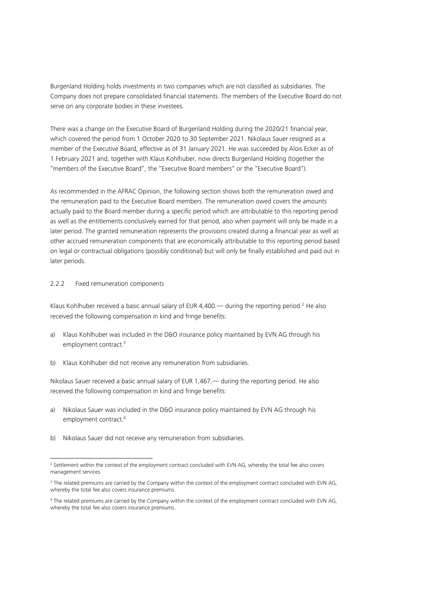Burgenland Holding holds investments in two companies which are not classified as subsidiaries. The Company does not prepare consolidated financial statements. The members of the Executive Board do not serve on any corporate bodies in these investees.

There was a change on the Executive Board of Burgenland Holding during the 2020/21 financial year, which covered the period from 1 October 2020 to 30 September 2021. Nikolaus Sauer resigned as a member of the Executive Board, effective as of 31 January 2021. He was succeeded by Alois Ecker as of 1 February 2021 and, together with Klaus Kohlhuber, now directs Burgenland Holding (together the "members of the Executive Board", the "Executive Board members" or the "Executive Board").

As recommended in the AFRAC Opinion, the following section shows both the remuneration owed and the remuneration paid to the Executive Board members. The remuneration owed covers the amounts actually paid to the Board member during a specific period which are attributable to this reporting period as well as the entitlements conclusively earned for that period, also when payment will only be made in a later period. The granted remuneration represents the provisions created during a financial year as well as other accrued remuneration components that are economically attributable to this reporting period based on legal or contractual obligations (possibly conditional) but will only be finally established and paid out in later periods.

## 2.2.2 Fixed remuneration components

l

Klaus Kohlhuber received a basic annual salary of EUR 4,400.— during the reporting period.<sup>2</sup> He also received the following compensation in kind and fringe benefits:

- a) Klaus Kohlhuber was included in the D&O insurance policy maintained by EVN AG through his employment contract.<sup>3</sup>
- b) Klaus Kohlhuber did not receive any remuneration from subsidiaries.

Nikolaus Sauer received a basic annual salary of EUR 1,467.— during the reporting period. He also received the following compensation in kind and fringe benefits:

- a) Nikolaus Sauer was included in the D&O insurance policy maintained by EVN AG through his employment contract.<sup>4</sup>
- b) Nikolaus Sauer did not receive any remuneration from subsidiaries.

<sup>&</sup>lt;sup>2</sup> Settlement within the context of the employment contract concluded with EVN AG, whereby the total fee also covers management services.

<sup>&</sup>lt;sup>3</sup> The related premiums are carried by the Company within the context of the employment contract concluded with EVN AG, whereby the total fee also covers insurance premiums.

<sup>4</sup> The related premiums are carried by the Company within the context of the employment contract concluded with EVN AG, whereby the total fee also covers insurance premiums.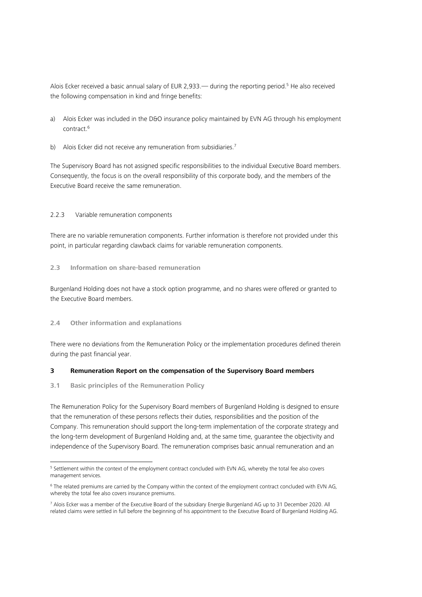Alois Ecker received a basic annual salary of EUR 2,933.— during the reporting period.<sup>5</sup> He also received the following compensation in kind and fringe benefits:

- a) Alois Ecker was included in the D&O insurance policy maintained by EVN AG through his employment contract.<sup>6</sup>
- b) Alois Ecker did not receive any remuneration from subsidiaries.<sup>7</sup>

The Supervisory Board has not assigned specific responsibilities to the individual Executive Board members. Consequently, the focus is on the overall responsibility of this corporate body, and the members of the Executive Board receive the same remuneration.

## 2.2.3 Variable remuneration components

There are no variable remuneration components. Further information is therefore not provided under this point, in particular regarding clawback claims for variable remuneration components.

## **2.3 Information on share-based remuneration**

Burgenland Holding does not have a stock option programme, and no shares were offered or granted to the Executive Board members.

### **2.4 Other information and explanations**

There were no deviations from the Remuneration Policy or the implementation procedures defined therein during the past financial year.

### **3 Remuneration Report on the compensation of the Supervisory Board members**

**3.1 Basic principles of the Remuneration Policy** 

The Remuneration Policy for the Supervisory Board members of Burgenland Holding is designed to ensure that the remuneration of these persons reflects their duties, responsibilities and the position of the Company. This remuneration should support the long-term implementation of the corporate strategy and the long-term development of Burgenland Holding and, at the same time, guarantee the objectivity and independence of the Supervisory Board. The remuneration comprises basic annual remuneration and an

l <sup>5</sup> Settlement within the context of the employment contract concluded with EVN AG, whereby the total fee also covers management services.

<sup>6</sup> The related premiums are carried by the Company within the context of the employment contract concluded with EVN AG, whereby the total fee also covers insurance premiums.

<sup>7</sup> Alois Ecker was a member of the Executive Board of the subsidiary Energie Burgenland AG up to 31 December 2020. All related claims were settled in full before the beginning of his appointment to the Executive Board of Burgenland Holding AG.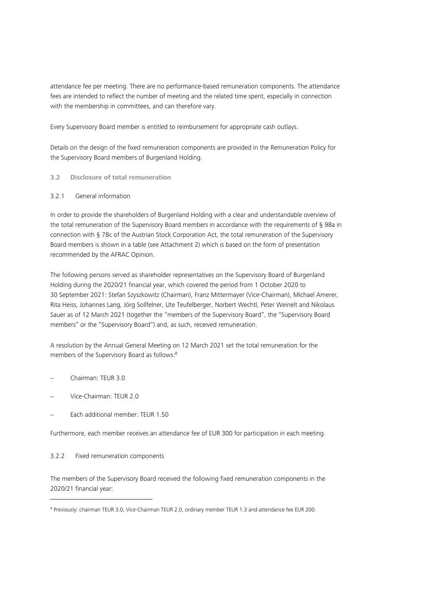attendance fee per meeting. There are no performance-based remuneration components. The attendance fees are intended to reflect the number of meeting and the related time spent, especially in connection with the membership in committees, and can therefore vary.

Every Supervisory Board member is entitled to reimbursement for appropriate cash outlays.

Details on the design of the fixed remuneration components are provided in the Remuneration Policy for the Supervisory Board members of Burgenland Holding.

**3.2 Disclosure of total remuneration** 

## 3.2.1 General information

In order to provide the shareholders of Burgenland Holding with a clear and understandable overview of the total remuneration of the Supervisory Board members in accordance with the requirements of § 98a in connection with § 78c of the Austrian Stock Corporation Act, the total remuneration of the Supervisory Board members is shown in a table (see Attachment 2) which is based on the form of presentation recommended by the AFRAC Opinion.

The following persons served as shareholder representatives on the Supervisory Board of Burgenland Holding during the 2020/21 financial year, which covered the period from 1 October 2020 to 30 September 2021: Stefan Szyszkowitz (Chairman), Franz Mittermayer (Vice-Chairman), Michael Amerer, Rita Heiss, Johannes Lang, Jörg Sollfelner, Ute Teufelberger, Norbert Wechtl, Peter Weinelt and Nikolaus Sauer as of 12 March 2021 (together the "members of the Supervisory Board", the "Supervisory Board members" or the "Supervisory Board") and, as such, received remuneration.

A resolution by the Annual General Meeting on 12 March 2021 set the total remuneration for the members of the Supervisory Board as follows:<sup>8</sup>

− Chairman: TEUR 3.0

 $\overline{a}$ 

- − Vice-Chairman: TEUR 2.0
- − Each additional member: TEUR 1.50

Furthermore, each member receives an attendance fee of EUR 300 for participation in each meeting.

### 3.2.2 Fixed remuneration components

The members of the Supervisory Board received the following fixed remuneration components in the 2020/21 financial year:

<sup>&</sup>lt;sup>8</sup> Previously: chairman TEUR 3.0, Vice-Chairman TEUR 2.0, ordinary member TEUR 1.3 and attendance fee EUR 200.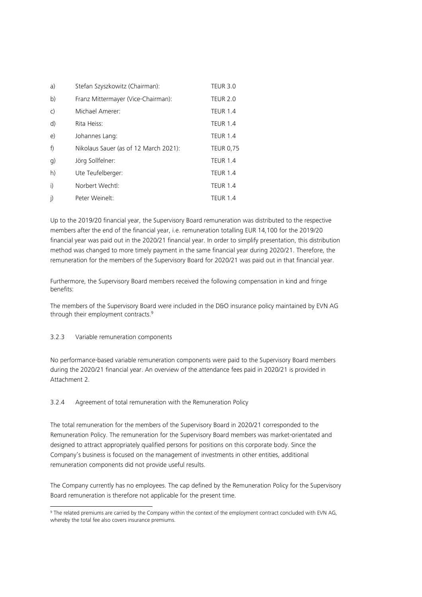| a)           | Stefan Szyszkowitz (Chairman):        | <b>TEUR 3.0</b>  |
|--------------|---------------------------------------|------------------|
| b)           | Franz Mittermayer (Vice-Chairman):    | <b>TEUR 2.0</b>  |
| $\mathsf{C}$ | Michael Amerer:                       | <b>TEUR 1.4</b>  |
| d)           | Rita Heiss:                           | <b>TEUR 1.4</b>  |
| $\epsilon$   | Johannes Lang:                        | <b>TEUR 1.4</b>  |
| f)           | Nikolaus Sauer (as of 12 March 2021): | <b>TEUR 0,75</b> |
| g)           | Jörg Sollfelner:                      | <b>TEUR 1.4</b>  |
| h)           | Ute Teufelberger:                     | <b>TEUR 1.4</b>  |
| i)           | Norbert Wechtl:                       | <b>TEUR 1.4</b>  |
| $\vert$ )    | Peter Weinelt:                        | <b>TEUR 1.4</b>  |

Up to the 2019/20 financial year, the Supervisory Board remuneration was distributed to the respective members after the end of the financial year, i.e. remuneration totalling EUR 14,100 for the 2019/20 financial year was paid out in the 2020/21 financial year. In order to simplify presentation, this distribution method was changed to more timely payment in the same financial year during 2020/21. Therefore, the remuneration for the members of the Supervisory Board for 2020/21 was paid out in that financial year.

Furthermore, the Supervisory Board members received the following compensation in kind and fringe benefits:

The members of the Supervisory Board were included in the D&O insurance policy maintained by EVN AG through their employment contracts.<sup>9</sup>

# 3.2.3 Variable remuneration components

No performance-based variable remuneration components were paid to the Supervisory Board members during the 2020/21 financial year. An overview of the attendance fees paid in 2020/21 is provided in Attachment 2.

3.2.4 Agreement of total remuneration with the Remuneration Policy

The total remuneration for the members of the Supervisory Board in 2020/21 corresponded to the Remuneration Policy. The remuneration for the Supervisory Board members was market-orientated and designed to attract appropriately qualified persons for positions on this corporate body. Since the Company's business is focused on the management of investments in other entities, additional remuneration components did not provide useful results.

The Company currently has no employees. The cap defined by the Remuneration Policy for the Supervisory Board remuneration is therefore not applicable for the present time.

 $\overline{a}$ <sup>9</sup> The related premiums are carried by the Company within the context of the employment contract concluded with EVN AG, whereby the total fee also covers insurance premiums.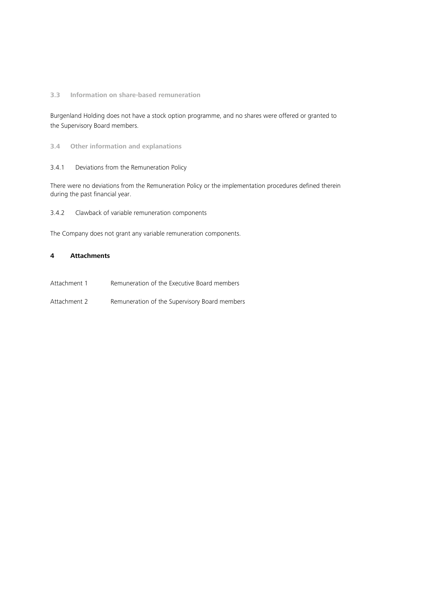## **3.3 Information on share-based remuneration**

Burgenland Holding does not have a stock option programme, and no shares were offered or granted to the Supervisory Board members.

**3.4 Other information and explanations** 

3.4.1 Deviations from the Remuneration Policy

There were no deviations from the Remuneration Policy or the implementation procedures defined therein during the past financial year.

3.4.2 Clawback of variable remuneration components

The Company does not grant any variable remuneration components.

## **4 Attachments**

- Attachment 1 Remuneration of the Executive Board members
- Attachment 2 Remuneration of the Supervisory Board members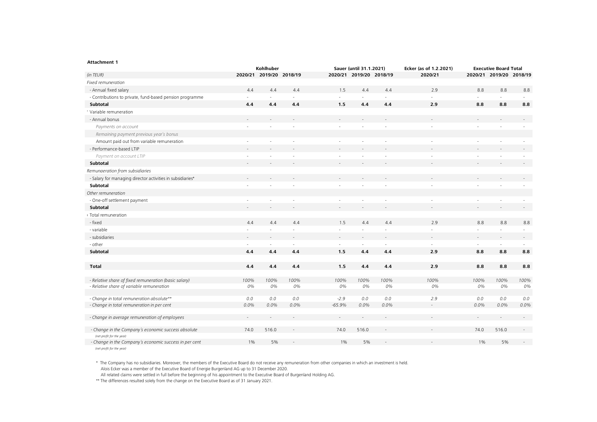#### **Attachment 1**

|                                                                                     |                | Kohlhuber               |                             |                | Sauer (until 31.1.2021)     |                          | Ecker (as of 1.2.2021)   |                          | <b>Executive Board Total</b> |         |
|-------------------------------------------------------------------------------------|----------------|-------------------------|-----------------------------|----------------|-----------------------------|--------------------------|--------------------------|--------------------------|------------------------------|---------|
| (in TEUR)                                                                           |                | 2020/21 2019/20 2018/19 |                             |                | 2020/21 2019/20 2018/19     |                          | 2020/21                  |                          | 2020/21 2019/20 2018/19      |         |
| Fixed remuneration                                                                  |                |                         |                             |                |                             |                          |                          |                          |                              |         |
| - Annual fixed salary                                                               | 4.4            | 4.4                     | 4.4                         | 1.5            | 4.4                         | 4.4                      | 2.9                      | 8.8                      | 8.8                          | 8.8     |
| - Contributions to private, fund-based pension programme                            | $\sim$         | $\mathbb{Z}^2$          | $\mathcal{L}_{\mathcal{A}}$ | $\sim$         | $\mathcal{L}_{\mathcal{A}}$ | $\sim$                   | $\overline{\phantom{a}}$ | $\sim$                   | ÷.                           |         |
| Subtotal                                                                            | 4.4            | 4.4                     | 4.4                         | 1.5            | 4.4                         | 4.4                      | 2.9                      | 8.8                      | 8.8                          | 8.8     |
| Variable remuneration                                                               |                |                         |                             |                |                             |                          |                          |                          |                              |         |
| - Annual bonus                                                                      |                |                         |                             |                |                             |                          |                          |                          |                              |         |
| Payments on account                                                                 |                |                         | $\overline{a}$              |                | L.                          | $\overline{\phantom{a}}$ | $\overline{a}$           |                          |                              |         |
| Remaining payment previous year's bonus                                             |                |                         |                             |                |                             |                          |                          |                          |                              |         |
| Amount paid out from variable remuneration                                          | $\overline{a}$ |                         | $\overline{a}$              | $\overline{a}$ | $\overline{\phantom{a}}$    | $\overline{a}$           | L.                       | $\overline{a}$           |                              |         |
| - Performance-based LTIP                                                            |                |                         | $\overline{a}$              |                | $\overline{a}$              | $\sim$                   |                          | L,                       |                              |         |
| Payment on account LTIP                                                             |                |                         | L,                          |                | ٠                           |                          |                          |                          |                              |         |
| Subtotal                                                                            |                |                         |                             |                |                             |                          |                          |                          |                              |         |
| Remunaeration from subsidiaries                                                     |                |                         |                             |                |                             |                          |                          |                          |                              |         |
| - Salary for managing director activities in subsidiaries*                          |                |                         |                             |                |                             |                          |                          |                          |                              |         |
| Subtotal                                                                            | J.             |                         | $\sim$                      |                | $\overline{\phantom{a}}$    | $\sim$                   | $\overline{a}$           | Ĭ.                       |                              |         |
| Other remuneration                                                                  |                |                         |                             |                |                             |                          |                          |                          |                              |         |
| - One-off settlement payment                                                        | $\sim$         |                         | $\overline{\phantom{a}}$    | $\sim$         | $\overline{\phantom{a}}$    | $\overline{\phantom{a}}$ | $\overline{a}$           | $\sim$                   | $\overline{\phantom{a}}$     |         |
| <b>Subtotal</b>                                                                     |                |                         |                             |                |                             |                          |                          |                          |                              |         |
| Total remuneration                                                                  |                |                         |                             |                |                             |                          |                          |                          |                              |         |
| - fixed                                                                             | 4.4            | 4.4                     | 4.4                         | 1.5            | 4.4                         | 4.4                      | 2.9                      | 8.8                      | 8.8                          | 8.8     |
| - variable                                                                          |                |                         | $\overline{\phantom{a}}$    |                | $\overline{a}$              | $\overline{a}$           | ÷                        | ÷,                       | $\overline{\phantom{a}}$     |         |
| - subsidiaries                                                                      | $\overline{a}$ | $\sim$                  | $\mathcal{L}$               | $\sim$         | $\mathbf{r}$                | $\sim$                   | $\overline{a}$           | $\overline{\phantom{a}}$ | $\overline{\phantom{a}}$     | $\sim$  |
| - other                                                                             |                |                         | $\overline{\phantom{a}}$    |                | $\sim$                      | $\sim$                   | ÷                        | $\overline{\phantom{a}}$ | $\overline{\phantom{a}}$     |         |
| <b>Subtotal</b>                                                                     | 4.4            | 4.4                     | 4.4                         | 1.5            | 4.4                         | 4.4                      | 2.9                      | 8.8                      | 8.8                          | 8.8     |
| <b>Total</b>                                                                        | 4.4            | 4.4                     | 4.4                         | 1.5            | 4.4                         | 4.4                      | 2.9                      | 8.8                      | 8.8                          | 8.8     |
|                                                                                     |                |                         |                             |                |                             |                          |                          |                          |                              |         |
| - Relative share of fixed remuneration (basic salary)                               | 100%           | 100%                    | 100%                        | 100%           | 100%                        | 100%                     | 100%                     | 100%                     | 100%                         | 100%    |
| - Relative share of variable remuneration                                           | 0%             | 0%                      | 0%                          | $O\%$          | $O\%$                       | 0%                       | 0%                       | 0%                       | 0%                           | 0%      |
| - Change in total remuneration absolute**                                           | 0.0            | 0.0                     | 0.0                         | $-2.9$         | 0.0                         | 0.0                      | 2.9                      | 0.0                      | 0.0                          | $0.0$   |
| - Change in total remuneration in per cent                                          | 0.0%           | $0.0\%$                 | 0.0%                        | $-65.9%$       | $0.0\%$                     | $0.0\%$                  | $\overline{\phantom{a}}$ | 0.0%                     | 0.0%                         | $0.0\%$ |
|                                                                                     |                |                         |                             |                |                             |                          |                          |                          |                              |         |
| - Change in average remuneration of employees                                       |                |                         | $\overline{a}$              |                |                             | $\overline{\phantom{a}}$ | $\overline{a}$           | $\overline{\phantom{a}}$ | $\overline{\phantom{a}}$     |         |
| - Change in the Company's economic success absolute                                 | 74.0           | 516.0                   |                             | 74.0           | 516.0                       |                          |                          | 74.0                     | 516.0                        |         |
| (net profit for the year)                                                           |                |                         |                             |                |                             |                          |                          |                          |                              |         |
| - Change in the Company's economic success in per cent<br>(net profit for the year) | 1%             | 5%                      |                             | 1%             | 5%                          |                          |                          | 1%                       | 5%                           |         |

\* The Company has no subsidiaries. Moreover, the members of the Executive Board do not receive any remuneration from other companies in which an investment is held.<br>Alois Ecker was a member of the Executive Board of Energi

All related claims were settled in full before the beginning of his appointment to the Executive Board of Burgenland Holding AG.

\*\* The differences resulted solely from the change on the Executive Board as of 31 January 2021.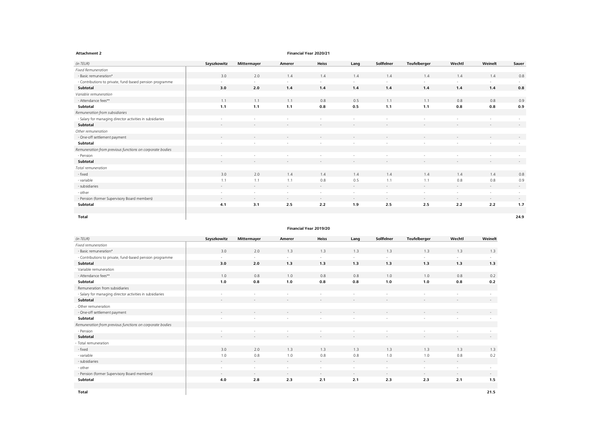| (in TEUR)                                                 | Szyszkowitz              | <b>Mittermayer</b> | Amerer                   | <b>Heiss</b>    | Lang                     | Sollfelner | <b>Teufelberger</b>      | Wechtl                   | Weinelt        | Sauer   |
|-----------------------------------------------------------|--------------------------|--------------------|--------------------------|-----------------|--------------------------|------------|--------------------------|--------------------------|----------------|---------|
| <b>Fixed Remuneration</b>                                 |                          |                    |                          |                 |                          |            |                          |                          |                |         |
| - Basic remuneration*                                     | 3.0                      | 2.0                | 1.4                      | 1.4             | 1.4                      | 1.4        | 1.4                      | 1.4                      | 1.4            | 0.8     |
| - Contributions to private, fund-based pension programme  | $\sim$                   | $\sim$             | $\overline{\phantom{a}}$ | $\sim$          | $\sim$                   | ٠          | $\sim$                   |                          | $\sim$         | $\sim$  |
| Subtotal                                                  | 3.0                      | $2.0$              | 1.4                      | 1.4             | 1.4                      | 1.4        | 1.4                      | 1.4                      | 1.4            | $0.8\,$ |
| Variable remuneration                                     |                          |                    |                          |                 |                          |            |                          |                          |                |         |
| - Attendance fees**                                       | 1.1                      | 1.1                | 1.1                      | 0.8             | 0.5                      | 1.1        | 1.1                      | 0.8                      | 0.8            | 0.9     |
| Subtotal                                                  | 1.1                      | 1.1                | 1.1                      | 0.8             | 0.5                      | 1.1        | 1.1                      | 0.8                      | 0.8            | 0.9     |
| Remuneration from subsidiaries                            |                          |                    |                          |                 |                          |            |                          |                          |                |         |
| - Salary for managing director activities in subsidiaries | $\overline{\phantom{a}}$ |                    | $\overline{\phantom{a}}$ | $\sim$          | $\overline{\phantom{a}}$ |            |                          | $\overline{\phantom{a}}$ |                |         |
| Subtotal                                                  | $\sim$                   |                    |                          |                 | $\overline{\phantom{a}}$ |            | $\overline{\phantom{a}}$ |                          |                |         |
| Other remuneration                                        |                          |                    |                          |                 |                          |            |                          |                          |                |         |
| - One-off settlement payment                              | $\sim$                   |                    |                          |                 |                          |            |                          |                          |                |         |
| Subtotal                                                  |                          |                    |                          |                 | $\overline{\phantom{a}}$ |            |                          |                          |                |         |
| Remuneration from previous functions on corporate bodies  |                          |                    |                          |                 |                          |            |                          |                          |                |         |
| - Pension                                                 | $\sim$                   | $\sim$             | $\overline{\phantom{a}}$ | $\sim$          | $\sim$                   | ٠          | $\sim$                   | $\overline{\phantom{a}}$ | $\sim$         |         |
| Subtotal                                                  | $\sim$                   | $\sim$             | $\sim$                   | $\sim$          | $\sim$                   | $\sim$     | $\sim$                   | $\sim$                   | $\sim$         |         |
| Total remuneration                                        |                          |                    |                          |                 |                          |            |                          |                          |                |         |
| - fixed                                                   | 3.0                      | 2.0                | 1.4                      | 1.4             | 1.4                      | 1.4        | 1.4                      | 1.4                      | 1.4            | 0.8     |
| - variable                                                | 1.1                      | 1.1                | 1.1                      | 0.8             | 0.5                      | 1.1        | 1.1                      | 0.8                      | 0.8            | 0.9     |
| - subsidiaries                                            | $\sim$                   | $\sim$             | $\sim$                   | $\sim$ 10 $\pm$ | $\sim$                   | $\sim$     | $\sim$                   | $\sim$                   | $\sim 10^{-1}$ | $\sim$  |
| - other                                                   | $\sim$                   | $\sim$             | $\overline{\phantom{a}}$ | $\sim$          | $\sim$                   | ٠          | $\sim$                   | $\overline{\phantom{a}}$ | $\sim$         | $\sim$  |
| - Pension (former Supervisory Board members)              | $\sim$                   | $\sim$ 100 $\mu$   | $\sim$                   | $\sim$ 10 $\pm$ | $\sim$                   | $\sim$     | $\sim$                   | $\sim$                   | $\sim$ $-$     | $\sim$  |
| Subtotal                                                  | 4.1                      | 3.1                | 2.5                      | 2.2             | 1.9                      | 2.5        | 2.5                      | 2.2                      | 2.2            | 1.7     |
|                                                           |                          |                    |                          |                 |                          |            |                          |                          |                |         |
| <b>Total</b>                                              |                          |                    |                          |                 |                          |            |                          |                          |                | 24.9    |

**Financial Year 2020/21**

#### **Financial Year 2019/20**

| (in TEUR)                                                 | Szyszkowitz              | <b>Mittermayer</b>       | Amerer                   | <b>Heiss</b>             | Lang                     | Sollfelner | Teufelberger | Wechtl                   | Weinelt |
|-----------------------------------------------------------|--------------------------|--------------------------|--------------------------|--------------------------|--------------------------|------------|--------------|--------------------------|---------|
| Fixed remuneration                                        |                          |                          |                          |                          |                          |            |              |                          |         |
| - Basic remuneration*                                     | 3.0                      | 2.0                      | 1.3                      | 1.3                      | 1.3                      | 1.3        | 1.3          | 1.3                      | 1.3     |
| - Contributions to private, fund-based pension programme  | $\sim$                   | $\sim$                   | $\overline{\phantom{a}}$ | $\sim$                   | $\sim$                   | $\sim$     | $\sim$       | $\overline{\phantom{a}}$ | $\sim$  |
| Subtotal                                                  | 3.0                      | 2.0                      | 1.3                      | 1.3                      | 1.3                      | 1.3        | 1.3          | 1.3                      | 1.3     |
| Variable remuneration                                     |                          |                          |                          |                          |                          |            |              |                          |         |
| - Attendance fees**                                       | 1.0                      | 0.8                      | 1.0                      | 0.8                      | 0.8                      | 1.0        | 1.0          | 0.8                      | 0.2     |
| Subtotal                                                  | 1.0                      | 0.8                      | 1.0                      | 0.8                      | 0.8                      | 1.0        | 1.0          | 0.8                      | 0.2     |
| Remuneration from subsidiaries                            |                          |                          |                          |                          |                          |            |              |                          |         |
| - Salary for managing director activities in subsidiaries | $\sim$                   | $\sim$                   | $\sim$                   | $\sim$                   | $\sim$                   | $\sim$     | $\sim$       | $\overline{\phantom{a}}$ | $\sim$  |
| Subtotal                                                  | $\sim$                   | $\sim$                   | $\overline{a}$           | $\sim$                   | $\overline{\phantom{a}}$ | $\sim$     | $\sim$       | $\sim$                   | $\sim$  |
| Other remuneration                                        |                          |                          |                          |                          |                          |            |              |                          |         |
| - One-off settlement payment                              | $\sim$                   |                          |                          | $\overline{\phantom{a}}$ | $\overline{\phantom{a}}$ | $\sim$     | $\sim$       | $\overline{\phantom{a}}$ | $\sim$  |
| Subtotal                                                  | $\overline{\phantom{a}}$ |                          |                          |                          |                          |            |              |                          |         |
| Remuneration from previous functions on corporate bodies  |                          |                          |                          |                          |                          |            |              |                          |         |
| - Pension                                                 | $\sim$                   | $\sim$                   | $\overline{\phantom{a}}$ | $\sim$                   | $\sim$                   | $\sim$     | $\sim$       | $\overline{\phantom{a}}$ | $\sim$  |
| Subtotal                                                  | $\sim$                   | $\sim$                   | $\sim$                   | $\sim$                   | $\sim$                   | $\sim$     | $\sim$       | $\overline{\phantom{a}}$ | $\sim$  |
| Total remuneration                                        |                          |                          |                          |                          |                          |            |              |                          |         |
| - fixed                                                   | 3.0                      | 2.0                      | 1.3                      | 1.3                      | 1.3                      | 1.3        | 1.3          | 1.3                      | 1.3     |
| - variable                                                | 1.0                      | 0.8                      | 1.0                      | 0.8                      | 0.8                      | 1.0        | 1.0          | 0.8                      | 0.2     |
| - subsidiaries                                            | $\sim$                   | $\sim$                   | $\overline{\phantom{a}}$ | $\sim$                   | $\sim$                   | $\sim$     | $\sim$       | $\sim$                   |         |
| - other                                                   | $\sim$                   | $\overline{\phantom{a}}$ | $\sim$                   | $\sim$                   | $\sim$                   | $\sim$     | $\sim$       | $\overline{a}$           | ٠       |
| - Pension (former Supervisory Board members)              | $\sim$                   | $\sim$                   | $\sim$                   | $\sim$                   | $\sim$                   | $\sim$     | $\sim$       | $\sim$                   | $\sim$  |
| Subtotal                                                  | 4.0                      | 2.8                      | 2.3                      | 2.1                      | 2.1                      | 2.3        | 2.3          | 2.1                      | 1.5     |
|                                                           |                          |                          |                          |                          |                          |            |              |                          |         |

**Attachment 2**

**21.5**